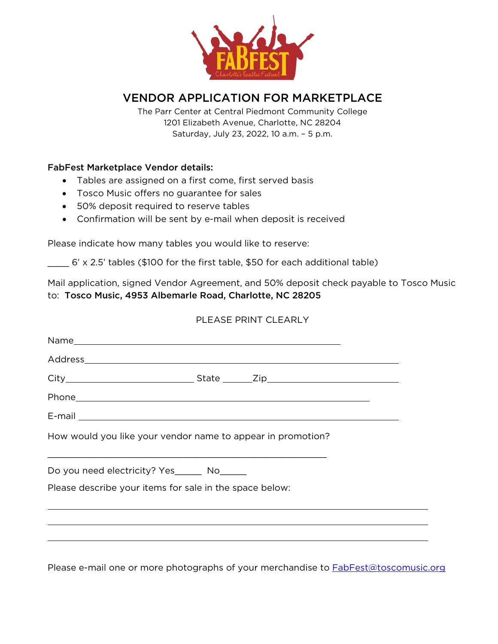

# VENDOR APPLICATION FOR MARKETPLACE

The Parr Center at Central Piedmont Community College 1201 Elizabeth Avenue, Charlotte, NC 28204 Saturday, July 23, 2022, 10 a.m. – 5 p.m.

### FabFest Marketplace Vendor details:

- Tables are assigned on a first come, first served basis
- Tosco Music offers no guarantee for sales
- 50% deposit required to reserve tables
- Confirmation will be sent by e-mail when deposit is received

Please indicate how many tables you would like to reserve:

\_\_\_\_ 6' x 2.5' tables (\$100 for the first table, \$50 for each additional table)

Mail application, signed Vendor Agreement, and 50% deposit check payable to Tosco Music to: Tosco Music, 4953 Albemarle Road, Charlotte, NC 28205

# PLEASE PRINT CLEARLY

| E-mail 2008 2009 2010 2021 2022 2023 2024 2022 2022 2023 2024 2022 2023 2024 2022 2023 2024 2022 2023 2024 20 |  |  |
|---------------------------------------------------------------------------------------------------------------|--|--|
| How would you like your vendor name to appear in promotion?                                                   |  |  |
| Do you need electricity? Yes_______ No______                                                                  |  |  |
| Please describe your items for sale in the space below:                                                       |  |  |
|                                                                                                               |  |  |
|                                                                                                               |  |  |
|                                                                                                               |  |  |

Please e-mail one or more photographs of your merchandise to **FabFest**@toscomusic.org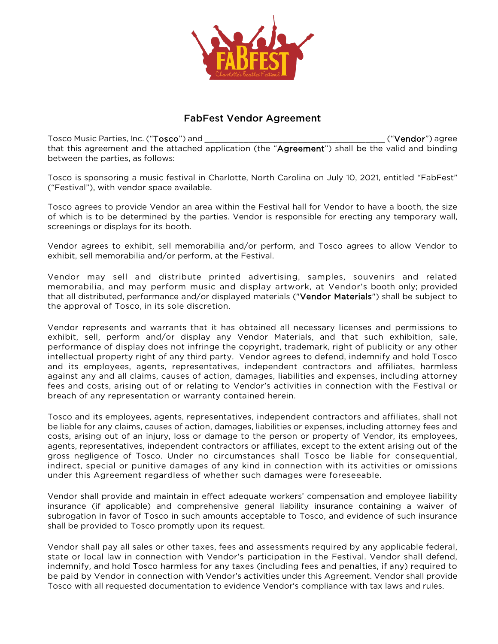

## FabFest Vendor Agreement

Tosco Music Parties, Inc. ("Tosco") and \_\_\_\_\_\_\_\_\_\_\_\_\_\_\_\_\_\_\_\_\_\_\_\_\_\_\_\_\_\_\_\_\_\_\_\_\_ ("Vendor") agree that this agreement and the attached application (the "Agreement") shall be the valid and binding between the parties, as follows:

Tosco is sponsoring a music festival in Charlotte, North Carolina on July 10, 2021, entitled "FabFest" ("Festival"), with vendor space available.

Tosco agrees to provide Vendor an area within the Festival hall for Vendor to have a booth, the size of which is to be determined by the parties. Vendor is responsible for erecting any temporary wall, screenings or displays for its booth.

Vendor agrees to exhibit, sell memorabilia and/or perform, and Tosco agrees to allow Vendor to exhibit, sell memorabilia and/or perform, at the Festival.

Vendor may sell and distribute printed advertising, samples, souvenirs and related memorabilia, and may perform music and display artwork, at Vendor's booth only; provided that all distributed, performance and/or displayed materials ("Vendor Materials") shall be subject to the approval of Tosco, in its sole discretion.

Vendor represents and warrants that it has obtained all necessary licenses and permissions to exhibit, sell, perform and/or display any Vendor Materials, and that such exhibition, sale, performance of display does not infringe the copyright, trademark, right of publicity or any other intellectual property right of any third party. Vendor agrees to defend, indemnify and hold Tosco and its employees, agents, representatives, independent contractors and affiliates, harmless against any and all claims, causes of action, damages, liabilities and expenses, including attorney fees and costs, arising out of or relating to Vendor's activities in connection with the Festival or breach of any representation or warranty contained herein.

Tosco and its employees, agents, representatives, independent contractors and affiliates, shall not be liable for any claims, causes of action, damages, liabilities or expenses, including attorney fees and costs, arising out of an injury, loss or damage to the person or property of Vendor, its employees, agents, representatives, independent contractors or affiliates, except to the extent arising out of the gross negligence of Tosco. Under no circumstances shall Tosco be liable for consequential, indirect, special or punitive damages of any kind in connection with its activities or omissions under this Agreement regardless of whether such damages were foreseeable.

Vendor shall provide and maintain in effect adequate workers' compensation and employee liability insurance (if applicable) and comprehensive general liability insurance containing a waiver of subrogation in favor of Tosco in such amounts acceptable to Tosco, and evidence of such insurance shall be provided to Tosco promptly upon its request.

Vendor shall pay all sales or other taxes, fees and assessments required by any applicable federal, state or local law in connection with Vendor's participation in the Festival. Vendor shall defend, indemnify, and hold Tosco harmless for any taxes (including fees and penalties, if any) required to be paid by Vendor in connection with Vendor's activities under this Agreement. Vendor shall provide Tosco with all requested documentation to evidence Vendor's compliance with tax laws and rules.